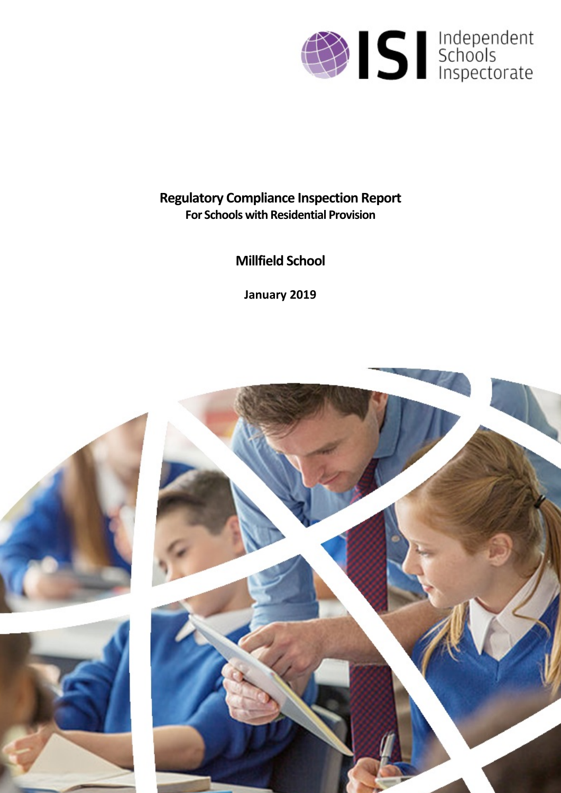

# **Regulatory Compliance Inspection Report For Schools with Residential Provision**

**Millfield School**

**January 2019**

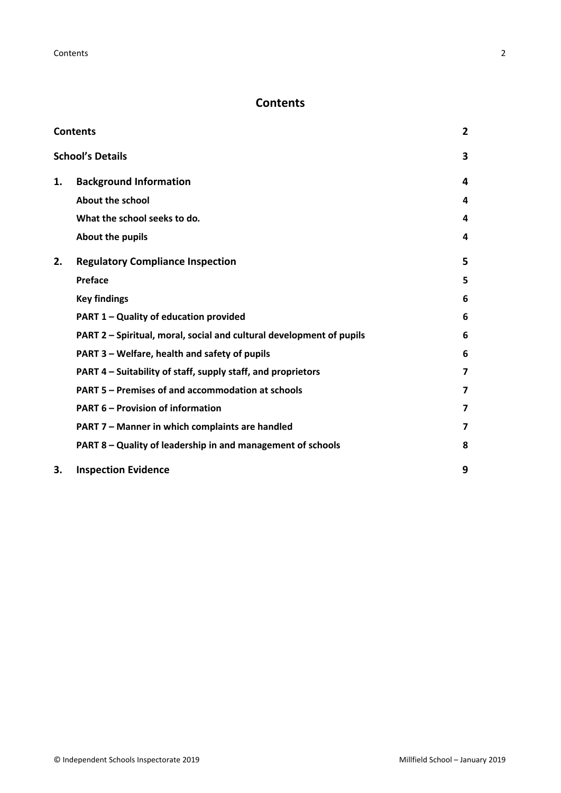## <span id="page-1-0"></span>**Contents**

| <b>Contents</b> |                                                                      |                         |
|-----------------|----------------------------------------------------------------------|-------------------------|
|                 | <b>School's Details</b>                                              | 3                       |
| 1.              | <b>Background Information</b>                                        | 4                       |
|                 | <b>About the school</b>                                              | 4                       |
|                 | What the school seeks to do.                                         | 4                       |
|                 | About the pupils                                                     | 4                       |
| 2.              | <b>Regulatory Compliance Inspection</b>                              | 5                       |
|                 | <b>Preface</b>                                                       | 5                       |
|                 | <b>Key findings</b>                                                  | 6                       |
|                 | PART 1 - Quality of education provided                               | 6                       |
|                 | PART 2 - Spiritual, moral, social and cultural development of pupils | 6                       |
|                 | PART 3 - Welfare, health and safety of pupils                        | 6                       |
|                 | PART 4 – Suitability of staff, supply staff, and proprietors         | 7                       |
|                 | PART 5 - Premises of and accommodation at schools                    | $\overline{\mathbf{z}}$ |
|                 | <b>PART 6 - Provision of information</b>                             | $\overline{\mathbf{z}}$ |
|                 | PART 7 - Manner in which complaints are handled                      | 7                       |
|                 | PART 8 - Quality of leadership in and management of schools          | 8                       |
| 3.              | <b>Inspection Evidence</b>                                           | 9                       |
|                 |                                                                      |                         |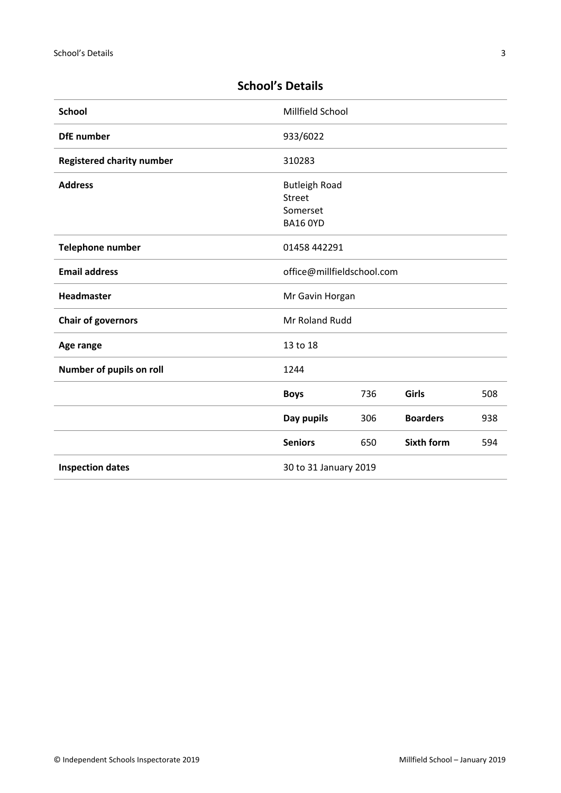| <b>School</b>                    | Millfield School                                                     |     |                   |     |
|----------------------------------|----------------------------------------------------------------------|-----|-------------------|-----|
| <b>DfE</b> number                | 933/6022                                                             |     |                   |     |
| <b>Registered charity number</b> | 310283                                                               |     |                   |     |
| <b>Address</b>                   | <b>Butleigh Road</b><br><b>Street</b><br>Somerset<br><b>BA16 OYD</b> |     |                   |     |
| Telephone number                 | 01458 442291                                                         |     |                   |     |
| <b>Email address</b>             | office@millfieldschool.com                                           |     |                   |     |
| Headmaster                       | Mr Gavin Horgan                                                      |     |                   |     |
| <b>Chair of governors</b>        | Mr Roland Rudd                                                       |     |                   |     |
| Age range                        | 13 to 18                                                             |     |                   |     |
| Number of pupils on roll         | 1244                                                                 |     |                   |     |
|                                  | <b>Boys</b>                                                          | 736 | Girls             | 508 |
|                                  | Day pupils                                                           | 306 | <b>Boarders</b>   | 938 |
|                                  | <b>Seniors</b>                                                       | 650 | <b>Sixth form</b> | 594 |
| <b>Inspection dates</b>          | 30 to 31 January 2019                                                |     |                   |     |

## <span id="page-2-0"></span>**School's Details**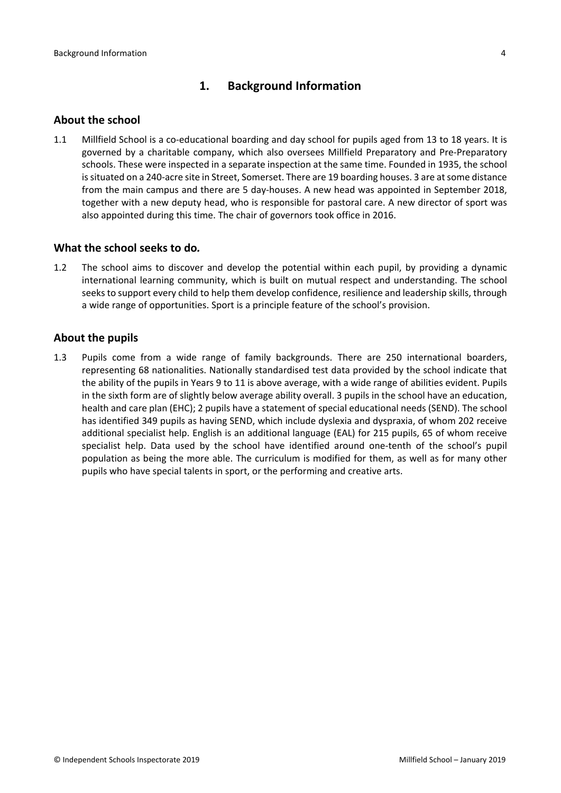## <span id="page-3-0"></span>**1. Background Information**

#### <span id="page-3-1"></span>**About the school**

1.1 Millfield School is a co-educational boarding and day school for pupils aged from 13 to 18 years. It is governed by a charitable company, which also oversees Millfield Preparatory and Pre-Preparatory schools. These were inspected in a separate inspection at the same time. Founded in 1935, the school is situated on a 240-acre site in Street, Somerset. There are 19 boarding houses. 3 are at some distance from the main campus and there are 5 day-houses. A new head was appointed in September 2018, together with a new deputy head, who is responsible for pastoral care. A new director of sport was also appointed during this time. The chair of governors took office in 2016.

#### <span id="page-3-2"></span>**What the school seeks to do***.*

1.2 The school aims to discover and develop the potential within each pupil, by providing a dynamic international learning community, which is built on mutual respect and understanding. The school seeks to support every child to help them develop confidence, resilience and leadership skills, through a wide range of opportunities. Sport is a principle feature of the school's provision.

#### <span id="page-3-3"></span>**About the pupils**

1.3 Pupils come from a wide range of family backgrounds. There are 250 international boarders, representing 68 nationalities. Nationally standardised test data provided by the school indicate that the ability of the pupils in Years 9 to 11 is above average, with a wide range of abilities evident. Pupils in the sixth form are of slightly below average ability overall. 3 pupils in the school have an education, health and care plan (EHC); 2 pupils have a statement of special educational needs (SEND). The school has identified 349 pupils as having SEND, which include dyslexia and dyspraxia, of whom 202 receive additional specialist help. English is an additional language (EAL) for 215 pupils, 65 of whom receive specialist help. Data used by the school have identified around one-tenth of the school's pupil population as being the more able. The curriculum is modified for them, as well as for many other pupils who have special talents in sport, or the performing and creative arts.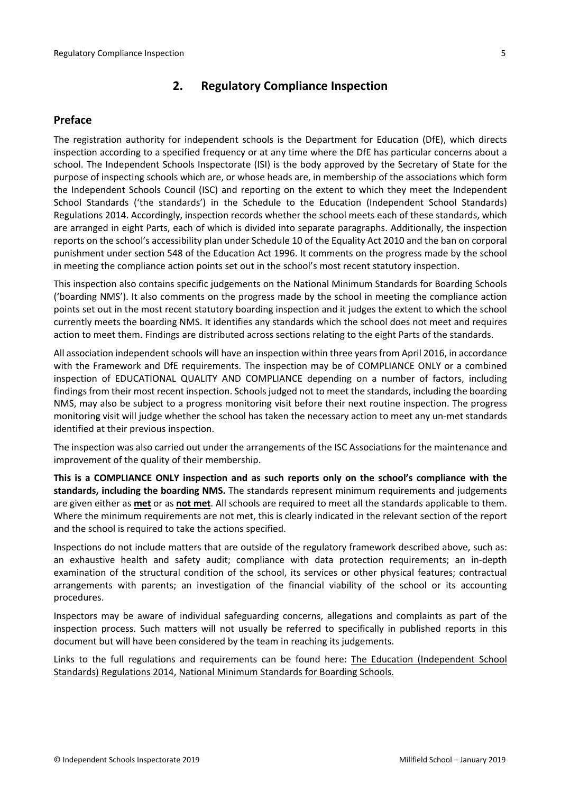## <span id="page-4-0"></span>**2. Regulatory Compliance Inspection**

### <span id="page-4-1"></span>**Preface**

The registration authority for independent schools is the Department for Education (DfE), which directs inspection according to a specified frequency or at any time where the DfE has particular concerns about a school. The Independent Schools Inspectorate (ISI) is the body approved by the Secretary of State for the purpose of inspecting schools which are, or whose heads are, in membership of the associations which form the Independent Schools Council (ISC) and reporting on the extent to which they meet the Independent School Standards ('the standards') in the Schedule to the Education (Independent School Standards) Regulations 2014. Accordingly, inspection records whether the school meets each of these standards, which are arranged in eight Parts, each of which is divided into separate paragraphs. Additionally, the inspection reports on the school's accessibility plan under Schedule 10 of the Equality Act 2010 and the ban on corporal punishment under section 548 of the Education Act 1996. It comments on the progress made by the school in meeting the compliance action points set out in the school's most recent statutory inspection.

This inspection also contains specific judgements on the National Minimum Standards for Boarding Schools ('boarding NMS'). It also comments on the progress made by the school in meeting the compliance action points set out in the most recent statutory boarding inspection and it judges the extent to which the school currently meets the boarding NMS. It identifies any standards which the school does not meet and requires action to meet them. Findings are distributed across sections relating to the eight Parts of the standards.

All association independent schools will have an inspection within three yearsfrom April 2016, in accordance with the Framework and DfE requirements. The inspection may be of COMPLIANCE ONLY or a combined inspection of EDUCATIONAL QUALITY AND COMPLIANCE depending on a number of factors, including findings from their most recent inspection. Schools judged not to meet the standards, including the boarding NMS, may also be subject to a progress monitoring visit before their next routine inspection. The progress monitoring visit will judge whether the school has taken the necessary action to meet any un-met standards identified at their previous inspection.

The inspection was also carried out under the arrangements of the ISC Associations for the maintenance and improvement of the quality of their membership.

**This is a COMPLIANCE ONLY inspection and as such reports only on the school's compliance with the standards, including the boarding NMS.** The standards represent minimum requirements and judgements are given either as **met** or as **not met**. All schools are required to meet all the standards applicable to them. Where the minimum requirements are not met, this is clearly indicated in the relevant section of the report and the school is required to take the actions specified.

Inspections do not include matters that are outside of the regulatory framework described above, such as: an exhaustive health and safety audit; compliance with data protection requirements; an in-depth examination of the structural condition of the school, its services or other physical features; contractual arrangements with parents; an investigation of the financial viability of the school or its accounting procedures.

Inspectors may be aware of individual safeguarding concerns, allegations and complaints as part of the inspection process. Such matters will not usually be referred to specifically in published reports in this document but will have been considered by the team in reaching its judgements.

Links to the full regulations and requirements can be found here: The Education [\(Independent](http://www.legislation.gov.uk/uksi/2014/3283/contents/made) School Standards) [Regulations](http://www.legislation.gov.uk/uksi/2014/3283/contents/made) 2014, National Minimum [Standards](https://www.gov.uk/government/uploads/system/uploads/attachment_data/file/416186/20150319_nms_bs_standards.pdf) for Boarding Schools[.](https://www.gov.uk/government/publications/early-years-foundation-stage-framework--2)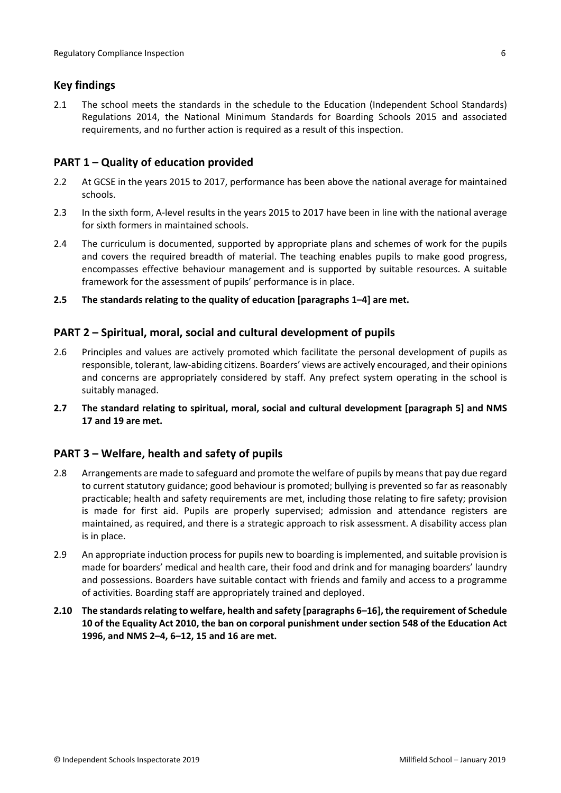### <span id="page-5-0"></span>**Key findings**

2.1 The school meets the standards in the schedule to the Education (Independent School Standards) Regulations 2014, the National Minimum Standards for Boarding Schools 2015 and associated requirements, and no further action is required as a result of this inspection.

### <span id="page-5-1"></span>**PART 1 – Quality of education provided**

- 2.2 At GCSE in the years 2015 to 2017, performance has been above the national average for maintained schools.
- 2.3 In the sixth form, A-level results in the years 2015 to 2017 have been in line with the national average for sixth formers in maintained schools.
- 2.4 The curriculum is documented, supported by appropriate plans and schemes of work for the pupils and covers the required breadth of material. The teaching enables pupils to make good progress, encompasses effective behaviour management and is supported by suitable resources. A suitable framework for the assessment of pupils' performance is in place.
- **2.5 The standards relating to the quality of education [paragraphs 1–4] are met.**

### <span id="page-5-2"></span>**PART 2 – Spiritual, moral, social and cultural development of pupils**

- 2.6 Principles and values are actively promoted which facilitate the personal development of pupils as responsible, tolerant, law-abiding citizens. Boarders' views are actively encouraged, and their opinions and concerns are appropriately considered by staff. Any prefect system operating in the school is suitably managed.
- **2.7 The standard relating to spiritual, moral, social and cultural development [paragraph 5] and NMS 17 and 19 are met.**

#### <span id="page-5-3"></span>**PART 3 – Welfare, health and safety of pupils**

- 2.8 Arrangements are made to safeguard and promote the welfare of pupils by means that pay due regard to current statutory guidance; good behaviour is promoted; bullying is prevented so far as reasonably practicable; health and safety requirements are met, including those relating to fire safety; provision is made for first aid. Pupils are properly supervised; admission and attendance registers are maintained, as required, and there is a strategic approach to risk assessment. A disability access plan is in place.
- 2.9 An appropriate induction process for pupils new to boarding is implemented, and suitable provision is made for boarders' medical and health care, their food and drink and for managing boarders' laundry and possessions. Boarders have suitable contact with friends and family and access to a programme of activities. Boarding staff are appropriately trained and deployed.
- **2.10 The standardsrelating to welfare, health and safety [paragraphs 6–16], the requirement of Schedule 10 of the Equality Act 2010, the ban on corporal punishment under section 548 of the Education Act 1996, and NMS 2–4, 6–12, 15 and 16 are met.**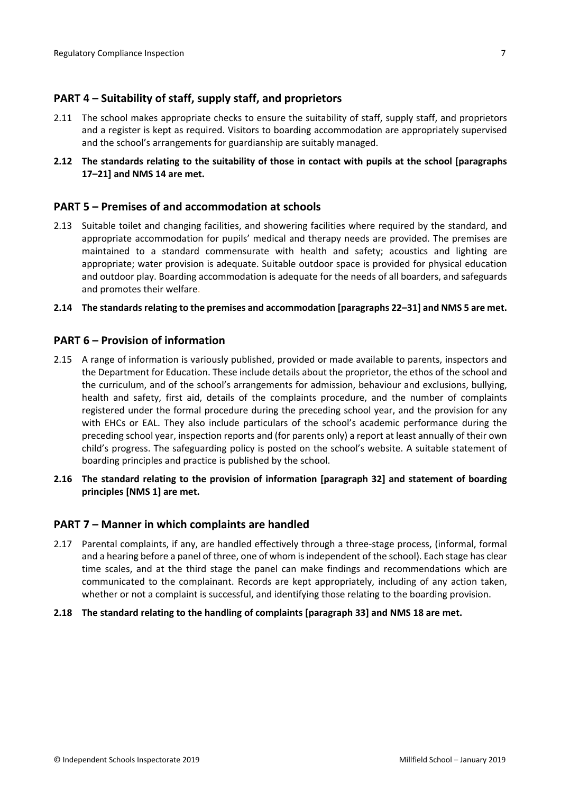### <span id="page-6-0"></span>**PART 4 – Suitability of staff, supply staff, and proprietors**

- 2.11 The school makes appropriate checks to ensure the suitability of staff, supply staff, and proprietors and a register is kept as required. Visitors to boarding accommodation are appropriately supervised and the school's arrangements for guardianship are suitably managed.
- **2.12 The standards relating to the suitability of those in contact with pupils at the school [paragraphs 17–21] and NMS 14 are met.**

#### <span id="page-6-1"></span>**PART 5 – Premises of and accommodation at schools**

2.13 Suitable toilet and changing facilities, and showering facilities where required by the standard, and appropriate accommodation for pupils' medical and therapy needs are provided. The premises are maintained to a standard commensurate with health and safety; acoustics and lighting are appropriate; water provision is adequate. Suitable outdoor space is provided for physical education and outdoor play. Boarding accommodation is adequate for the needs of all boarders, and safeguards and promotes their welfare.

#### **2.14 The standardsrelating to the premises and accommodation [paragraphs 22–31] and NMS 5 are met.**

#### <span id="page-6-2"></span>**PART 6 – Provision of information**

- 2.15 A range of information is variously published, provided or made available to parents, inspectors and the Department for Education. These include details about the proprietor, the ethos of the school and the curriculum, and of the school's arrangements for admission, behaviour and exclusions, bullying, health and safety, first aid, details of the complaints procedure, and the number of complaints registered under the formal procedure during the preceding school year, and the provision for any with EHCs or EAL. They also include particulars of the school's academic performance during the preceding school year, inspection reports and (for parents only) a report at least annually of their own child's progress. The safeguarding policy is posted on the school's website. A suitable statement of boarding principles and practice is published by the school.
- **2.16 The standard relating to the provision of information [paragraph 32] and statement of boarding principles [NMS 1] are met.**

#### <span id="page-6-3"></span>**PART 7 – Manner in which complaints are handled**

- 2.17 Parental complaints, if any, are handled effectively through a three-stage process, (informal, formal and a hearing before a panel of three, one of whom isindependent of the school). Each stage has clear time scales, and at the third stage the panel can make findings and recommendations which are communicated to the complainant. Records are kept appropriately, including of any action taken, whether or not a complaint is successful, and identifying those relating to the boarding provision.
- **2.18 The standard relating to the handling of complaints [paragraph 33] and NMS 18 are met.**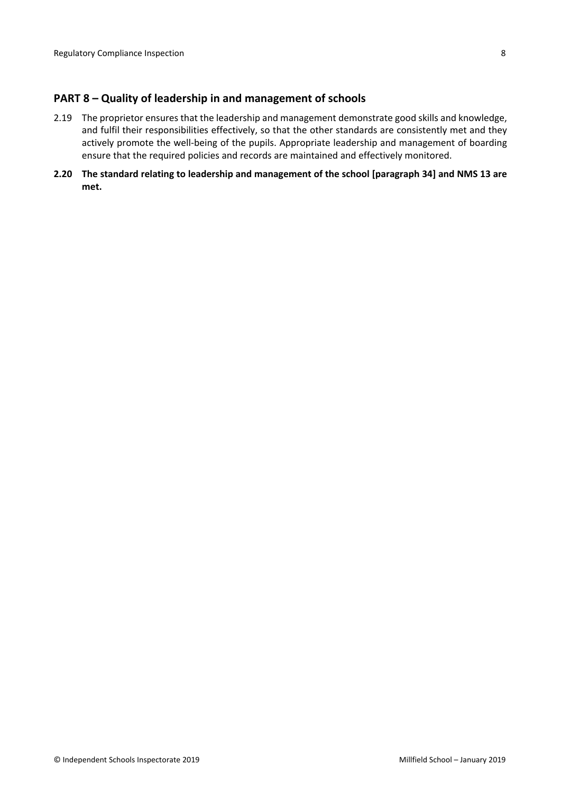#### <span id="page-7-0"></span>**PART 8 – Quality of leadership in and management of schools**

- 2.19 The proprietor ensures that the leadership and management demonstrate good skills and knowledge, and fulfil their responsibilities effectively, so that the other standards are consistently met and they actively promote the well-being of the pupils. Appropriate leadership and management of boarding ensure that the required policies and records are maintained and effectively monitored.
- **2.20 The standard relating to leadership and management of the school [paragraph 34] and NMS 13 are met.**